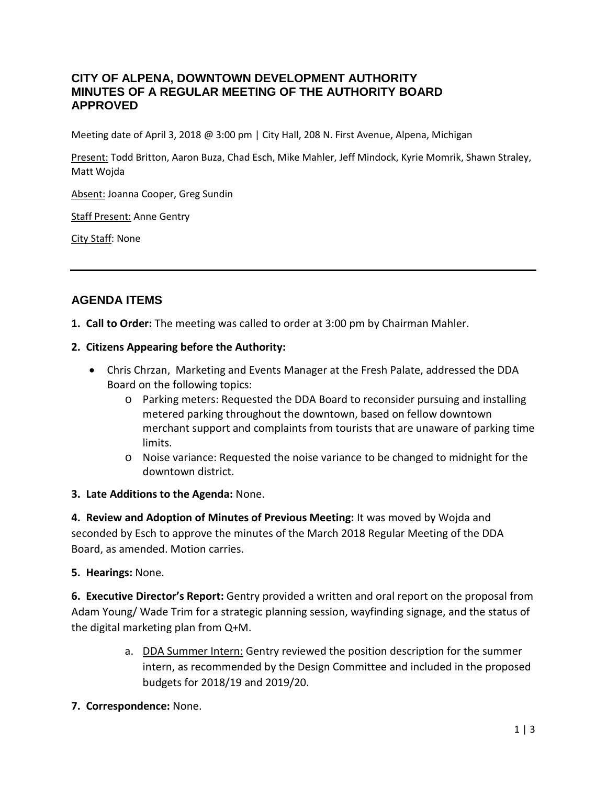### **CITY OF ALPENA, DOWNTOWN DEVELOPMENT AUTHORITY MINUTES OF A REGULAR MEETING OF THE AUTHORITY BOARD APPROVED**

Meeting date of April 3, 2018 @ 3:00 pm | City Hall, 208 N. First Avenue, Alpena, Michigan

Present: Todd Britton, Aaron Buza, Chad Esch, Mike Mahler, Jeff Mindock, Kyrie Momrik, Shawn Straley, Matt Wojda

Absent: Joanna Cooper, Greg Sundin

Staff Present: Anne Gentry

City Staff: None

## **AGENDA ITEMS**

**1. Call to Order:** The meeting was called to order at 3:00 pm by Chairman Mahler.

#### **2. Citizens Appearing before the Authority:**

- Chris Chrzan, Marketing and Events Manager at the Fresh Palate, addressed the DDA Board on the following topics:
	- o Parking meters: Requested the DDA Board to reconsider pursuing and installing metered parking throughout the downtown, based on fellow downtown merchant support and complaints from tourists that are unaware of parking time limits.
	- o Noise variance: Requested the noise variance to be changed to midnight for the downtown district.

#### **3. Late Additions to the Agenda:** None.

**4. Review and Adoption of Minutes of Previous Meeting:** It was moved by Wojda and seconded by Esch to approve the minutes of the March 2018 Regular Meeting of the DDA Board, as amended. Motion carries.

#### **5. Hearings:** None.

**6. Executive Director's Report:** Gentry provided a written and oral report on the proposal from Adam Young/ Wade Trim for a strategic planning session, wayfinding signage, and the status of the digital marketing plan from Q+M.

- a. DDA Summer Intern: Gentry reviewed the position description for the summer intern, as recommended by the Design Committee and included in the proposed budgets for 2018/19 and 2019/20.
- **7. Correspondence:** None.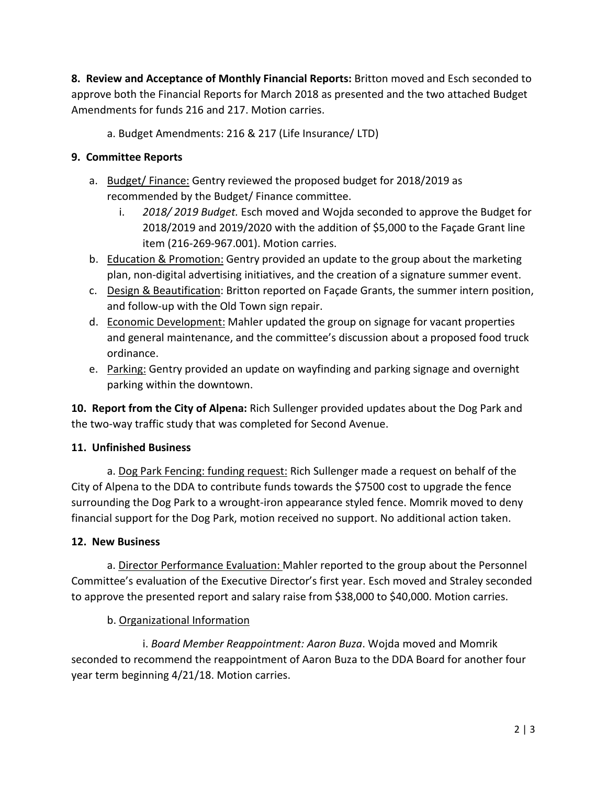**8. Review and Acceptance of Monthly Financial Reports:** Britton moved and Esch seconded to approve both the Financial Reports for March 2018 as presented and the two attached Budget Amendments for funds 216 and 217. Motion carries.

a. Budget Amendments: 216 & 217 (Life Insurance/ LTD)

### **9. Committee Reports**

- a. Budget/ Finance: Gentry reviewed the proposed budget for 2018/2019 as recommended by the Budget/ Finance committee.
	- i. *2018/ 2019 Budget.* Esch moved and Wojda seconded to approve the Budget for 2018/2019 and 2019/2020 with the addition of \$5,000 to the Façade Grant line item (216-269-967.001). Motion carries.
- b. Education & Promotion: Gentry provided an update to the group about the marketing plan, non-digital advertising initiatives, and the creation of a signature summer event.
- c. Design & Beautification: Britton reported on Façade Grants, the summer intern position, and follow-up with the Old Town sign repair.
- d. Economic Development: Mahler updated the group on signage for vacant properties and general maintenance, and the committee's discussion about a proposed food truck ordinance.
- e. Parking: Gentry provided an update on wayfinding and parking signage and overnight parking within the downtown.

**10. Report from the City of Alpena:** Rich Sullenger provided updates about the Dog Park and the two-way traffic study that was completed for Second Avenue.

### **11. Unfinished Business**

a. Dog Park Fencing: funding request: Rich Sullenger made a request on behalf of the City of Alpena to the DDA to contribute funds towards the \$7500 cost to upgrade the fence surrounding the Dog Park to a wrought-iron appearance styled fence. Momrik moved to deny financial support for the Dog Park, motion received no support. No additional action taken.

### **12. New Business**

a. Director Performance Evaluation: Mahler reported to the group about the Personnel Committee's evaluation of the Executive Director's first year. Esch moved and Straley seconded to approve the presented report and salary raise from \$38,000 to \$40,000. Motion carries.

# b. Organizational Information

i. *Board Member Reappointment: Aaron Buza*. Wojda moved and Momrik seconded to recommend the reappointment of Aaron Buza to the DDA Board for another four year term beginning 4/21/18. Motion carries.